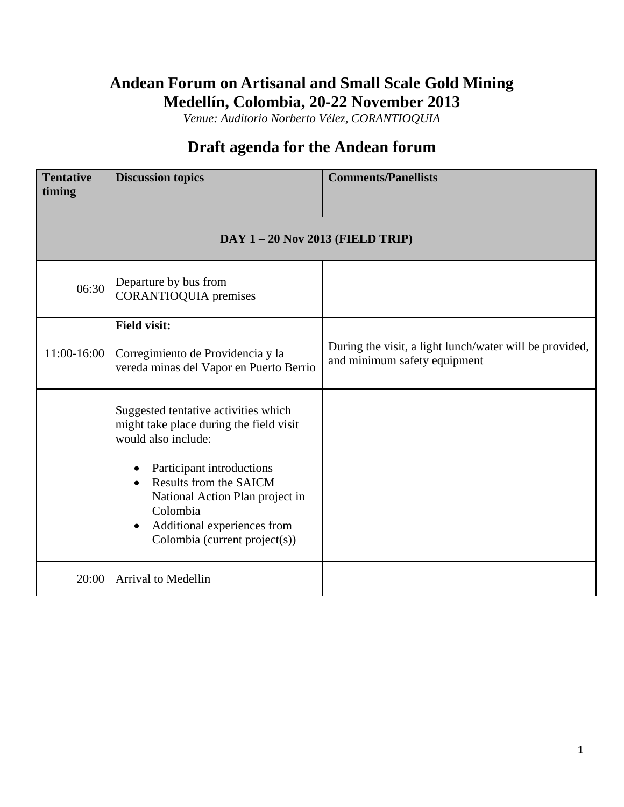## **Andean Forum on Artisanal and Small Scale Gold Mining Medellín, Colombia, 20-22 November 2013**

*Venue: Auditorio Norberto Vélez, CORANTIOQUIA*

## **Draft agenda for the Andean forum**

| <b>Tentative</b><br>timing | <b>Discussion topics</b>                                                                                                                                                                                                                                                                               | <b>Comments/Panellists</b>                                                              |  |
|----------------------------|--------------------------------------------------------------------------------------------------------------------------------------------------------------------------------------------------------------------------------------------------------------------------------------------------------|-----------------------------------------------------------------------------------------|--|
|                            | $DAY$ 1 – 20 Nov 2013 (FIELD TRIP)                                                                                                                                                                                                                                                                     |                                                                                         |  |
| 06:30                      | Departure by bus from<br><b>CORANTIOQUIA</b> premises                                                                                                                                                                                                                                                  |                                                                                         |  |
| 11:00-16:00                | <b>Field visit:</b><br>Corregimiento de Providencia y la<br>vereda minas del Vapor en Puerto Berrio                                                                                                                                                                                                    | During the visit, a light lunch/water will be provided,<br>and minimum safety equipment |  |
|                            | Suggested tentative activities which<br>might take place during the field visit<br>would also include:<br>Participant introductions<br>$\bullet$<br>Results from the SAICM<br>National Action Plan project in<br>Colombia<br>Additional experiences from<br>$\bullet$<br>Colombia (current project(s)) |                                                                                         |  |
| 20:00                      | <b>Arrival to Medellin</b>                                                                                                                                                                                                                                                                             |                                                                                         |  |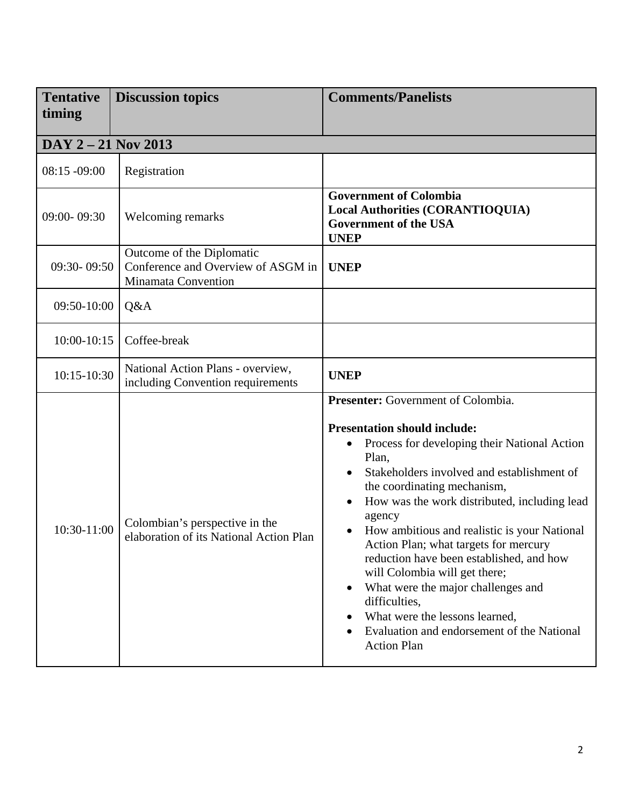| <b>Tentative</b><br>timing | <b>Discussion topics</b>                                                               | <b>Comments/Panelists</b>                                                                                                                                                                                                                                                                                                                                                                                                                                                                                                                                                                                    |
|----------------------------|----------------------------------------------------------------------------------------|--------------------------------------------------------------------------------------------------------------------------------------------------------------------------------------------------------------------------------------------------------------------------------------------------------------------------------------------------------------------------------------------------------------------------------------------------------------------------------------------------------------------------------------------------------------------------------------------------------------|
| DAY 2 - 21 Nov 2013        |                                                                                        |                                                                                                                                                                                                                                                                                                                                                                                                                                                                                                                                                                                                              |
| $08:15 - 09:00$            | Registration                                                                           |                                                                                                                                                                                                                                                                                                                                                                                                                                                                                                                                                                                                              |
| 09:00-09:30                | Welcoming remarks                                                                      | <b>Government of Colombia</b><br><b>Local Authorities (CORANTIOQUIA)</b><br><b>Government of the USA</b><br><b>UNEP</b>                                                                                                                                                                                                                                                                                                                                                                                                                                                                                      |
| 09:30-09:50                | Outcome of the Diplomatic<br>Conference and Overview of ASGM in<br>Minamata Convention | <b>UNEP</b>                                                                                                                                                                                                                                                                                                                                                                                                                                                                                                                                                                                                  |
| 09:50-10:00                | Q&A                                                                                    |                                                                                                                                                                                                                                                                                                                                                                                                                                                                                                                                                                                                              |
| 10:00-10:15                | Coffee-break                                                                           |                                                                                                                                                                                                                                                                                                                                                                                                                                                                                                                                                                                                              |
| 10:15-10:30                | National Action Plans - overview,<br>including Convention requirements                 | <b>UNEP</b>                                                                                                                                                                                                                                                                                                                                                                                                                                                                                                                                                                                                  |
| 10:30-11:00                | Colombian's perspective in the<br>elaboration of its National Action Plan              | Presenter: Government of Colombia.<br><b>Presentation should include:</b><br>Process for developing their National Action<br>Plan,<br>Stakeholders involved and establishment of<br>the coordinating mechanism,<br>How was the work distributed, including lead<br>agency<br>How ambitious and realistic is your National<br>Action Plan; what targets for mercury<br>reduction have been established, and how<br>will Colombia will get there;<br>What were the major challenges and<br>difficulties,<br>What were the lessons learned,<br>Evaluation and endorsement of the National<br><b>Action Plan</b> |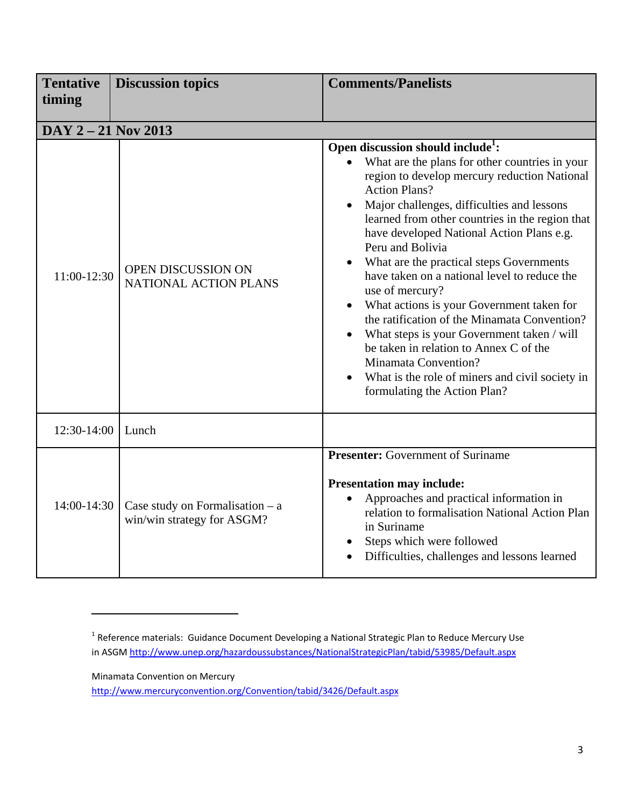| <b>Tentative</b><br>timing | <b>Discussion topics</b>                                        | <b>Comments/Panelists</b>                                                                                                                                                                                                                                                                                                                                                                                                                                                                                                                                                                                                                                                                                                                                |
|----------------------------|-----------------------------------------------------------------|----------------------------------------------------------------------------------------------------------------------------------------------------------------------------------------------------------------------------------------------------------------------------------------------------------------------------------------------------------------------------------------------------------------------------------------------------------------------------------------------------------------------------------------------------------------------------------------------------------------------------------------------------------------------------------------------------------------------------------------------------------|
|                            |                                                                 |                                                                                                                                                                                                                                                                                                                                                                                                                                                                                                                                                                                                                                                                                                                                                          |
| DAY 2 - 21 Nov 2013        |                                                                 |                                                                                                                                                                                                                                                                                                                                                                                                                                                                                                                                                                                                                                                                                                                                                          |
| 11:00-12:30                | OPEN DISCUSSION ON<br>NATIONAL ACTION PLANS                     | Open discussion should include <sup>1</sup> :<br>What are the plans for other countries in your<br>region to develop mercury reduction National<br><b>Action Plans?</b><br>Major challenges, difficulties and lessons<br>learned from other countries in the region that<br>have developed National Action Plans e.g.<br>Peru and Bolivia<br>What are the practical steps Governments<br>have taken on a national level to reduce the<br>use of mercury?<br>What actions is your Government taken for<br>the ratification of the Minamata Convention?<br>What steps is your Government taken / will<br>be taken in relation to Annex C of the<br>Minamata Convention?<br>What is the role of miners and civil society in<br>formulating the Action Plan? |
| 12:30-14:00                | Lunch                                                           |                                                                                                                                                                                                                                                                                                                                                                                                                                                                                                                                                                                                                                                                                                                                                          |
| 14:00-14:30                | Case study on Formalisation $-$ a<br>win/win strategy for ASGM? | <b>Presenter:</b> Government of Suriname<br><b>Presentation may include:</b><br>Approaches and practical information in<br>relation to formalisation National Action Plan<br>in Suriname<br>Steps which were followed<br>Difficulties, challenges and lessons learned                                                                                                                                                                                                                                                                                                                                                                                                                                                                                    |

Minamata Convention on Mercury

http://www.mercuryconvention.org/Convention/tabid/3426/Default.aspx

 $1$  Reference materials: Guidance Document Developing a National Strategic Plan to Reduce Mercury Use in ASGM http://www.unep.org/hazardoussubstances/NationalStrategicPlan/tabid/53985/Default.aspx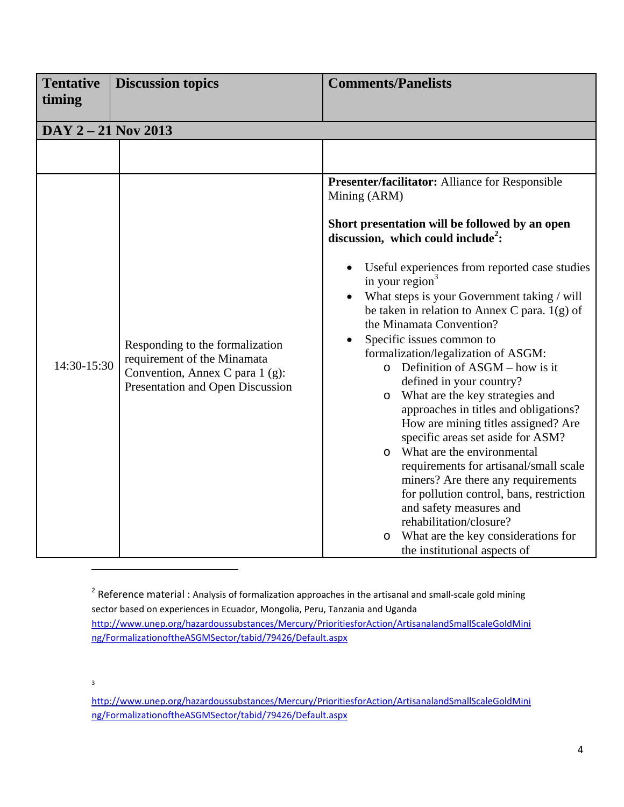| <b>Tentative</b><br>timing | <b>Discussion topics</b>                                                                                                              | <b>Comments/Panelists</b>                                                                                                                                                                                                                                                                                                                                                                                                                                                                                                                                                                                                                                                                                                                                                                                                                                                                                                                                                        |
|----------------------------|---------------------------------------------------------------------------------------------------------------------------------------|----------------------------------------------------------------------------------------------------------------------------------------------------------------------------------------------------------------------------------------------------------------------------------------------------------------------------------------------------------------------------------------------------------------------------------------------------------------------------------------------------------------------------------------------------------------------------------------------------------------------------------------------------------------------------------------------------------------------------------------------------------------------------------------------------------------------------------------------------------------------------------------------------------------------------------------------------------------------------------|
| DAY 2 - 21 Nov 2013        |                                                                                                                                       |                                                                                                                                                                                                                                                                                                                                                                                                                                                                                                                                                                                                                                                                                                                                                                                                                                                                                                                                                                                  |
|                            |                                                                                                                                       |                                                                                                                                                                                                                                                                                                                                                                                                                                                                                                                                                                                                                                                                                                                                                                                                                                                                                                                                                                                  |
| 14:30-15:30                | Responding to the formalization<br>requirement of the Minamata<br>Convention, Annex C para 1 (g):<br>Presentation and Open Discussion | Presenter/facilitator: Alliance for Responsible<br>Mining (ARM)<br>Short presentation will be followed by an open<br>discussion, which could include <sup>2</sup> :<br>Useful experiences from reported case studies<br>in your region $3$<br>What steps is your Government taking / will<br>be taken in relation to Annex C para. $1(g)$ of<br>the Minamata Convention?<br>Specific issues common to<br>formalization/legalization of ASGM:<br>$\circ$ Definition of ASGM – how is it<br>defined in your country?<br>o What are the key strategies and<br>approaches in titles and obligations?<br>How are mining titles assigned? Are<br>specific areas set aside for ASM?<br>o What are the environmental<br>requirements for artisanal/small scale<br>miners? Are there any requirements<br>for pollution control, bans, restriction<br>and safety measures and<br>rehabilitation/closure?<br>What are the key considerations for<br>$\circ$<br>the institutional aspects of |

<sup>2</sup> Reference material : Analysis of formalization approaches in the artisanal and small-scale gold mining sector based on experiences in Ecuador, Mongolia, Peru, Tanzania and Uganda http://www.unep.org/hazardoussubstances/Mercury/PrioritiesforAction/ArtisanalandSmallScaleGoldMini ng/FormalizationoftheASGMSector/tabid/79426/Default.aspx

3

http://www.unep.org/hazardoussubstances/Mercury/PrioritiesforAction/ArtisanalandSmallScaleGoldMini ng/FormalizationoftheASGMSector/tabid/79426/Default.aspx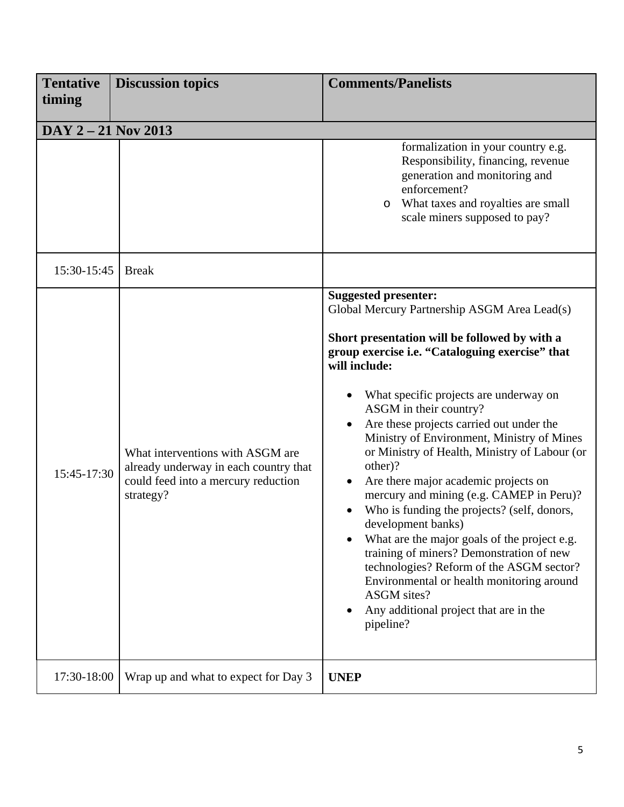| <b>Tentative</b><br>timing | <b>Discussion topics</b>                                                                                                      | <b>Comments/Panelists</b>                                                                                                                                                                                                                                                                                                                                                                                                                                                                                                                                                                                                                                                                                                                                                                                                                                          |
|----------------------------|-------------------------------------------------------------------------------------------------------------------------------|--------------------------------------------------------------------------------------------------------------------------------------------------------------------------------------------------------------------------------------------------------------------------------------------------------------------------------------------------------------------------------------------------------------------------------------------------------------------------------------------------------------------------------------------------------------------------------------------------------------------------------------------------------------------------------------------------------------------------------------------------------------------------------------------------------------------------------------------------------------------|
| DAY 2 - 21 Nov 2013        |                                                                                                                               |                                                                                                                                                                                                                                                                                                                                                                                                                                                                                                                                                                                                                                                                                                                                                                                                                                                                    |
|                            |                                                                                                                               | formalization in your country e.g.<br>Responsibility, financing, revenue<br>generation and monitoring and<br>enforcement?<br>What taxes and royalties are small<br>$\circ$<br>scale miners supposed to pay?                                                                                                                                                                                                                                                                                                                                                                                                                                                                                                                                                                                                                                                        |
| 15:30-15:45                | <b>Break</b>                                                                                                                  |                                                                                                                                                                                                                                                                                                                                                                                                                                                                                                                                                                                                                                                                                                                                                                                                                                                                    |
| 15:45-17:30                | What interventions with ASGM are<br>already underway in each country that<br>could feed into a mercury reduction<br>strategy? | <b>Suggested presenter:</b><br>Global Mercury Partnership ASGM Area Lead(s)<br>Short presentation will be followed by with a<br>group exercise i.e. "Cataloguing exercise" that<br>will include:<br>What specific projects are underway on<br>ASGM in their country?<br>Are these projects carried out under the<br>Ministry of Environment, Ministry of Mines<br>or Ministry of Health, Ministry of Labour (or<br>other)?<br>Are there major academic projects on<br>$\bullet$<br>mercury and mining (e.g. CAMEP in Peru)?<br>Who is funding the projects? (self, donors,<br>development banks)<br>What are the major goals of the project e.g.<br>training of miners? Demonstration of new<br>technologies? Reform of the ASGM sector?<br>Environmental or health monitoring around<br><b>ASGM</b> sites?<br>Any additional project that are in the<br>pipeline? |
| 17:30-18:00                | Wrap up and what to expect for Day 3                                                                                          | <b>UNEP</b>                                                                                                                                                                                                                                                                                                                                                                                                                                                                                                                                                                                                                                                                                                                                                                                                                                                        |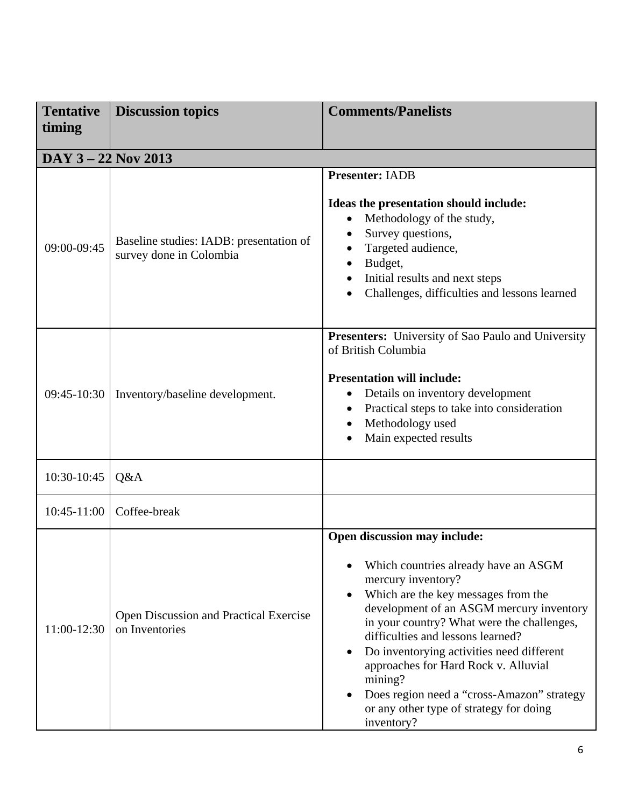| <b>Tentative</b>    | <b>Discussion topics</b>                                           | <b>Comments/Panelists</b>                                                                                                                                                                                                                                                                                                                                                                                                                                               |
|---------------------|--------------------------------------------------------------------|-------------------------------------------------------------------------------------------------------------------------------------------------------------------------------------------------------------------------------------------------------------------------------------------------------------------------------------------------------------------------------------------------------------------------------------------------------------------------|
| timing              |                                                                    |                                                                                                                                                                                                                                                                                                                                                                                                                                                                         |
| DAY 3 - 22 Nov 2013 |                                                                    |                                                                                                                                                                                                                                                                                                                                                                                                                                                                         |
| 09:00-09:45         | Baseline studies: IADB: presentation of<br>survey done in Colombia | <b>Presenter: IADB</b><br>Ideas the presentation should include:<br>Methodology of the study,<br>$\bullet$<br>Survey questions,<br>Targeted audience,<br>Budget,<br>Initial results and next steps<br>Challenges, difficulties and lessons learned                                                                                                                                                                                                                      |
| $09:45-10:30$       | Inventory/baseline development.                                    | <b>Presenters:</b> University of Sao Paulo and University<br>of British Columbia<br><b>Presentation will include:</b><br>Details on inventory development<br>Practical steps to take into consideration<br>$\bullet$<br>Methodology used<br>Main expected results                                                                                                                                                                                                       |
| 10:30-10:45         | Q&A                                                                |                                                                                                                                                                                                                                                                                                                                                                                                                                                                         |
| $10:45-11:00$       | Coffee-break                                                       |                                                                                                                                                                                                                                                                                                                                                                                                                                                                         |
| 11:00-12:30         | Open Discussion and Practical Exercise<br>on Inventories           | Open discussion may include:<br>Which countries already have an ASGM<br>mercury inventory?<br>Which are the key messages from the<br>development of an ASGM mercury inventory<br>in your country? What were the challenges,<br>difficulties and lessons learned?<br>Do inventorying activities need different<br>approaches for Hard Rock v. Alluvial<br>mining?<br>Does region need a "cross-Amazon" strategy<br>or any other type of strategy for doing<br>inventory? |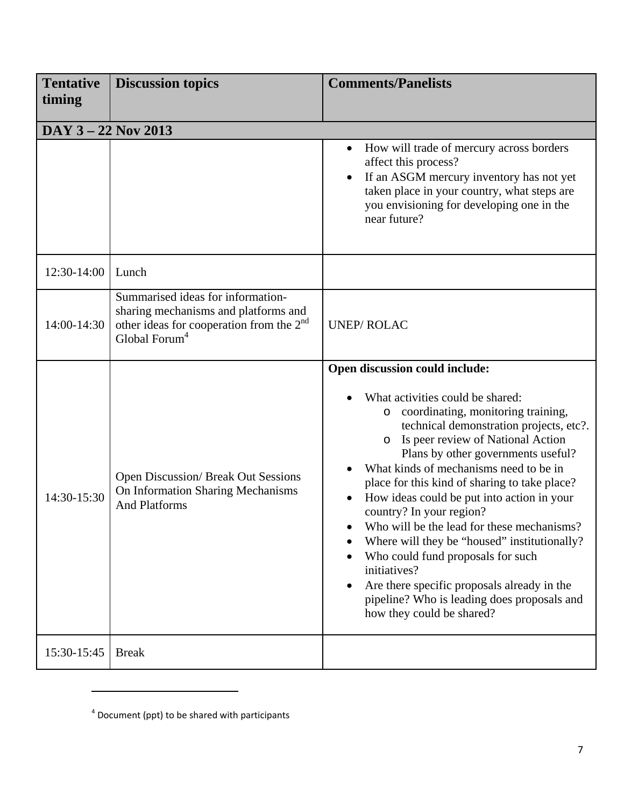| <b>Tentative</b><br>timing | <b>Discussion topics</b>                                                                                                                              | <b>Comments/Panelists</b>                                                                                                                                                                                                                                                                                                                                                                                                                                                                                                                                                                                                                                                                   |
|----------------------------|-------------------------------------------------------------------------------------------------------------------------------------------------------|---------------------------------------------------------------------------------------------------------------------------------------------------------------------------------------------------------------------------------------------------------------------------------------------------------------------------------------------------------------------------------------------------------------------------------------------------------------------------------------------------------------------------------------------------------------------------------------------------------------------------------------------------------------------------------------------|
| DAY 3 - 22 Nov 2013        |                                                                                                                                                       |                                                                                                                                                                                                                                                                                                                                                                                                                                                                                                                                                                                                                                                                                             |
|                            |                                                                                                                                                       | How will trade of mercury across borders<br>affect this process?<br>If an ASGM mercury inventory has not yet<br>$\bullet$<br>taken place in your country, what steps are<br>you envisioning for developing one in the<br>near future?                                                                                                                                                                                                                                                                                                                                                                                                                                                       |
| 12:30-14:00                | Lunch                                                                                                                                                 |                                                                                                                                                                                                                                                                                                                                                                                                                                                                                                                                                                                                                                                                                             |
| 14:00-14:30                | Summarised ideas for information-<br>sharing mechanisms and platforms and<br>other ideas for cooperation from the $2nd$<br>Global Forum $^\mathrm{4}$ | <b>UNEP/ROLAC</b>                                                                                                                                                                                                                                                                                                                                                                                                                                                                                                                                                                                                                                                                           |
| 14:30-15:30                | <b>Open Discussion/ Break Out Sessions</b><br>On Information Sharing Mechanisms<br><b>And Platforms</b>                                               | Open discussion could include:<br>What activities could be shared:<br>coordinating, monitoring training,<br>O<br>technical demonstration projects, etc?.<br>Is peer review of National Action<br>O<br>Plans by other governments useful?<br>What kinds of mechanisms need to be in<br>place for this kind of sharing to take place?<br>How ideas could be put into action in your<br>country? In your region?<br>Who will be the lead for these mechanisms?<br>Where will they be "housed" institutionally?<br>Who could fund proposals for such<br>initiatives?<br>Are there specific proposals already in the<br>pipeline? Who is leading does proposals and<br>how they could be shared? |
| 15:30-15:45                | <b>Break</b>                                                                                                                                          |                                                                                                                                                                                                                                                                                                                                                                                                                                                                                                                                                                                                                                                                                             |

<sup>4</sup> Document (ppt) to be shared with participants

<u> 1980 - Jan Samuel Barbara, politik eta politik eta politik eta politik eta politik eta politik eta politik e</u>